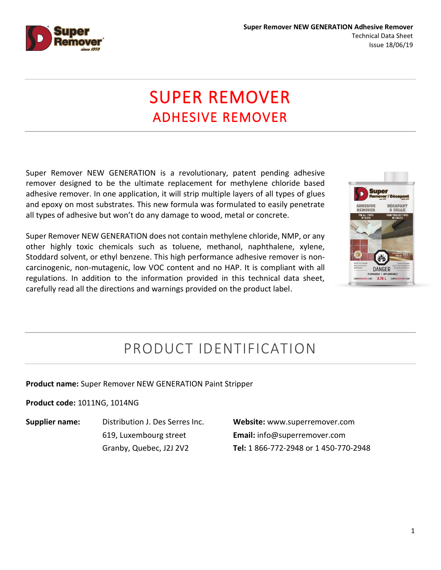

# SUPER REMOVER ADHESIVE REMOVER

Super Remover NEW GENERATION is a revolutionary, patent pending adhesive remover designed to be the ultimate replacement for methylene chloride based adhesive remover. In one application, it will strip multiple layers of all types of glues and epoxy on most substrates. This new formula was formulated to easily penetrate all types of adhesive but won't do any damage to wood, metal or concrete.

Super Remover NEW GENERATION does not contain methylene chloride, NMP, or any other highly toxic chemicals such as toluene, methanol, naphthalene, xylene, Stoddard solvent, or ethyl benzene. This high performance adhesive remover is noncarcinogenic, non-mutagenic, low VOC content and no HAP. It is compliant with all regulations. In addition to the information provided in this technical data sheet, carefully read all the directions and warnings provided on the product label.



### PRODUCT IDENTIFICATION

#### **Product name:** Super Remover NEW GENERATION Paint Stripper

#### **Product code:** 1011NG, 1014NG

**Supplier name:** Distribution J. Des Serres Inc. 619, Luxembourg street Granby, Quebec, J2J 2V2

**Website:** www.superremover.com **Email:** info@superremover.com **Tel:** 1 866-772-2948 or 1 450-770-2948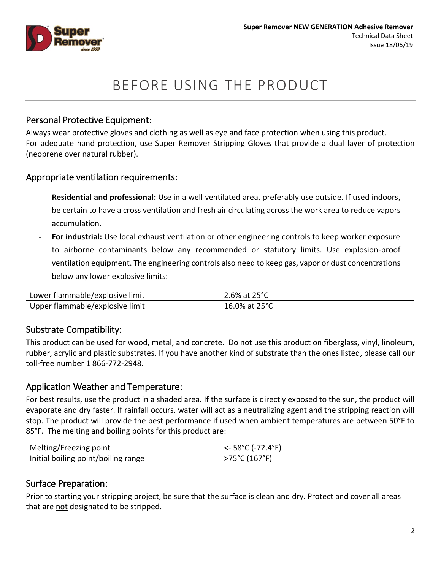

### BEFORE USING THE PRODUCT

### Personal Protective Equipment:

Always wear protective gloves and clothing as well as eye and face protection when using this product. For adequate hand protection, use Super Remover Stripping Gloves that provide a dual layer of protection (neoprene over natural rubber).

#### Appropriate ventilation requirements:

- **Residential and professional:** Use in a well ventilated area, preferably use outside. If used indoors, be certain to have a cross ventilation and fresh air circulating across the work area to reduce vapors accumulation.
- For industrial: Use local exhaust ventilation or other engineering controls to keep worker exposure to airborne contaminants below any recommended or statutory limits. Use explosion-proof ventilation equipment. The engineering controls also need to keep gas, vapor or dust concentrations below any lower explosive limits:

| Lower flammable/explosive limit | 2.6% at $25^{\circ}$ C |
|---------------------------------|------------------------|
| Upper flammable/explosive limit | 16.0% at 25°C          |

### Substrate Compatibility:

This product can be used for wood, metal, and concrete. Do not use this product on fiberglass, vinyl, linoleum, rubber, acrylic and plastic substrates. If you have another kind of substrate than the ones listed, please call our toll-free number 1 866-772-2948.

### Application Weather and Temperature:

For best results, use the product in a shaded area. If the surface is directly exposed to the sun, the product will evaporate and dry faster. If rainfall occurs, water will act as a neutralizing agent and the stripping reaction will stop. The product will provide the best performance if used when ambient temperatures are between 50°F to 85°F. The melting and boiling points for this product are:

| Melting/Freezing point              | $\vert$ <- 58°C (-72.4°F) |
|-------------------------------------|---------------------------|
| Initial boiling point/boiling range | >75°C (167°F)             |

### Surface Preparation:

Prior to starting your stripping project, be sure that the surface is clean and dry. Protect and cover all areas that are not designated to be stripped.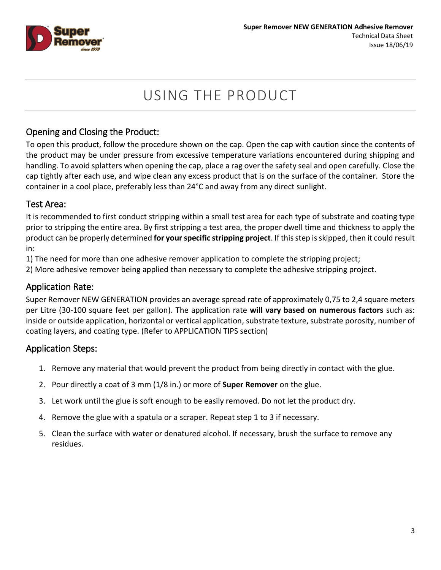

## USING THE PRODUCT

### Opening and Closing the Product:

To open this product, follow the procedure shown on the cap. Open the cap with caution since the contents of the product may be under pressure from excessive temperature variations encountered during shipping and handling. To avoid splatters when opening the cap, place a rag over the safety seal and open carefully. Close the cap tightly after each use, and wipe clean any excess product that is on the surface of the container. Store the container in a cool place, preferably less than 24°C and away from any direct sunlight.

### Test Area:

It is recommended to first conduct stripping within a small test area for each type of substrate and coating type prior to stripping the entire area. By first stripping a test area, the proper dwell time and thickness to apply the product can be properly determined **for yourspecific stripping project**. If this step is skipped, then it could result in:

1) The need for more than one adhesive remover application to complete the stripping project;

2) More adhesive remover being applied than necessary to complete the adhesive stripping project.

### Application Rate:

Super Remover NEW GENERATION provides an average spread rate of approximately 0,75 to 2,4 square meters per Litre (30-100 square feet per gallon). The application rate **will vary based on numerous factors** such as: inside or outside application, horizontal or vertical application, substrate texture, substrate porosity, number of coating layers, and coating type. (Refer to APPLICATION TIPS section)

### Application Steps:

- 1. Remove any material that would prevent the product from being directly in contact with the glue.
- 2. Pour directly a coat of 3 mm (1/8 in.) or more of **Super Remover** on the glue.
- 3. Let work until the glue is soft enough to be easily removed. Do not let the product dry.
- 4. Remove the glue with a spatula or a scraper. Repeat step 1 to 3 if necessary.
- 5. Clean the surface with water or denatured alcohol. If necessary, brush the surface to remove any residues.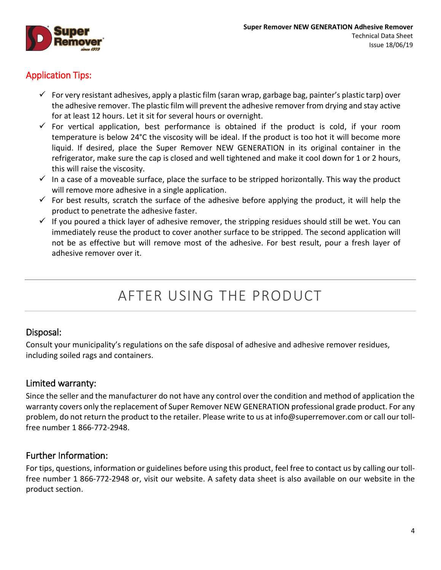

### Application Tips:

- For very resistant adhesives, apply a plastic film (saran wrap, garbage bag, painter's plastic tarp) over the adhesive remover. The plastic film will prevent the adhesive remover from drying and stay active for at least 12 hours. Let it sit for several hours or overnight.
- $\checkmark$  For vertical application, best performance is obtained if the product is cold, if your room temperature is below 24°C the viscosity will be ideal. If the product is too hot it will become more liquid. If desired, place the Super Remover NEW GENERATION in its original container in the refrigerator, make sure the cap is closed and well tightened and make it cool down for 1 or 2 hours, this will raise the viscosity.
- $\checkmark$  In a case of a moveable surface, place the surface to be stripped horizontally. This way the product will remove more adhesive in a single application.
- $\checkmark$  For best results, scratch the surface of the adhesive before applying the product, it will help the product to penetrate the adhesive faster.
- $\checkmark$  If you poured a thick layer of adhesive remover, the stripping residues should still be wet. You can immediately reuse the product to cover another surface to be stripped. The second application will not be as effective but will remove most of the adhesive. For best result, pour a fresh layer of adhesive remover over it.

## AFTER USING THE PRODUCT

#### Disposal:

Consult your municipality's regulations on the safe disposal of adhesive and adhesive remover residues, including soiled rags and containers.

### Limited warranty:

Since the seller and the manufacturer do not have any control over the condition and method of application the warranty covers only the replacement of Super Remover NEW GENERATION professional grade product. For any problem, do not return the product to the retailer. Please write to us at [info@superremover.com](mailto:info@superremover.com) or call our tollfree number 1 866-772-2948.

### Further Information:

For tips, questions, information or guidelines before using this product, feel free to contact us by calling our tollfree number 1 866-772-2948 or, visit our website. A safety data sheet is also available on our website in the product section.